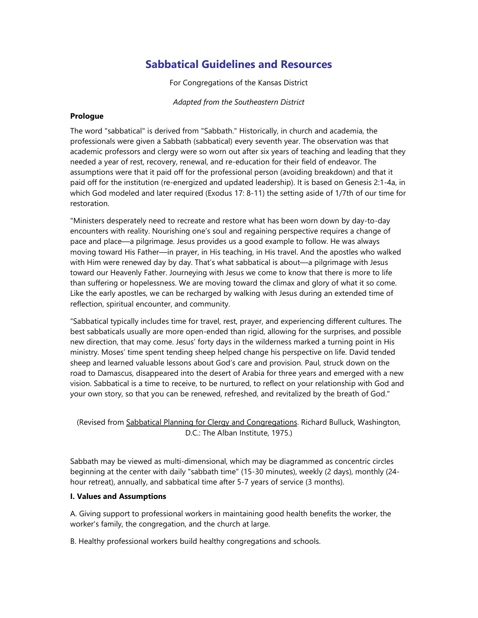# **Sabbatical Guidelines and Resources**

For Congregations of the Kansas District

*Adapted from the Southeastern District*

#### **Prologue**

The word "sabbatical" is derived from "Sabbath." Historically, in church and academia, the professionals were given a Sabbath (sabbatical) every seventh year. The observation was that academic professors and clergy were so worn out after six years of teaching and leading that they needed a year of rest, recovery, renewal, and re-education for their field of endeavor. The assumptions were that it paid off for the professional person (avoiding breakdown) and that it paid off for the institution (re-energized and updated leadership). It is based on Genesis 2:1-4a, in which God modeled and later required (Exodus 17: 8-11) the setting aside of 1/7th of our time for restoration.

"Ministers desperately need to recreate and restore what has been worn down by day-to-day encounters with reality. Nourishing one's soul and regaining perspective requires a change of pace and place—a pilgrimage. Jesus provides us a good example to follow. He was always moving toward His Father—in prayer, in His teaching, in His travel. And the apostles who walked with Him were renewed day by day. That's what sabbatical is about—a pilgrimage with Jesus toward our Heavenly Father. Journeying with Jesus we come to know that there is more to life than suffering or hopelessness. We are moving toward the climax and glory of what it so come. Like the early apostles, we can be recharged by walking with Jesus during an extended time of reflection, spiritual encounter, and community.

"Sabbatical typically includes time for travel, rest, prayer, and experiencing different cultures. The best sabbaticals usually are more open-ended than rigid, allowing for the surprises, and possible new direction, that may come. Jesus' forty days in the wilderness marked a turning point in His ministry. Moses' time spent tending sheep helped change his perspective on life. David tended sheep and learned valuable lessons about God's care and provision. Paul, struck down on the road to Damascus, disappeared into the desert of Arabia for three years and emerged with a new vision. Sabbatical is a time to receive, to be nurtured, to reflect on your relationship with God and your own story, so that you can be renewed, refreshed, and revitalized by the breath of God."

# (Revised from Sabbatical Planning for Clergy and Congregations. Richard Bulluck, Washington, D.C.: The Alban Institute, 1975.)

Sabbath may be viewed as multi-dimensional, which may be diagrammed as concentric circles beginning at the center with daily "sabbath time" (15-30 minutes), weekly (2 days), monthly (24 hour retreat), annually, and sabbatical time after 5-7 years of service (3 months).

# **I. Values and Assumptions**

A. Giving support to professional workers in maintaining good health benefits the worker, the worker's family, the congregation, and the church at large.

B. Healthy professional workers build healthy congregations and schools.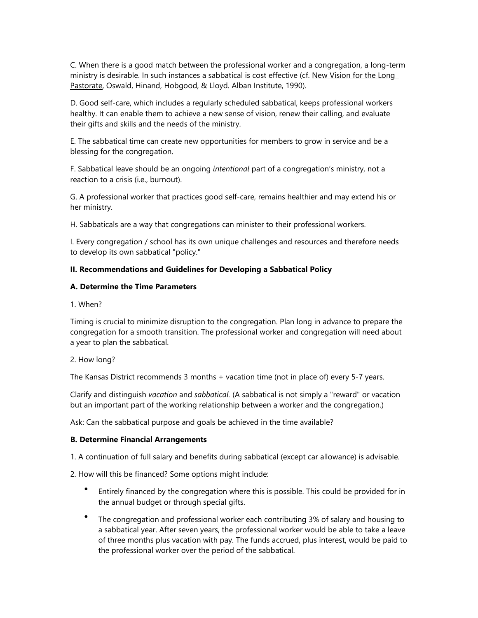C. When there is a good match between the professional worker and a congregation, a long-term ministry is desirable. In such instances a sabbatical is cost effective (cf. New Vision for the Long Pastorate, Oswald, Hinand, Hobgood, & Lloyd. Alban Institute, 1990).

D. Good self-care, which includes a regularly scheduled sabbatical, keeps professional workers healthy. It can enable them to achieve a new sense of vision, renew their calling, and evaluate their gifts and skills and the needs of the ministry.

E. The sabbatical time can create new opportunities for members to grow in service and be a blessing for the congregation.

F. Sabbatical leave should be an ongoing *intentional* part of a congregation's ministry, not a reaction to a crisis (i.e., burnout).

G. A professional worker that practices good self-care, remains healthier and may extend his or her ministry.

H. Sabbaticals are a way that congregations can minister to their professional workers.

I. Every congregation / school has its own unique challenges and resources and therefore needs to develop its own sabbatical "policy."

#### **II. Recommendations and Guidelines for Developing a Sabbatical Policy**

#### **A. Determine the Time Parameters**

1. When?

Timing is crucial to minimize disruption to the congregation. Plan long in advance to prepare the congregation for a smooth transition. The professional worker and congregation will need about a year to plan the sabbatical.

2. How long?

The Kansas District recommends 3 months + vacation time (not in place of) every 5-7 years.

Clarify and distinguish *vacation* and *sabbatical.* (A sabbatical is not simply a "reward" or vacation but an important part of the working relationship between a worker and the congregation.)

Ask: Can the sabbatical purpose and goals be achieved in the time available?

#### **B. Determine Financial Arrangements**

1. A continuation of full salary and benefits during sabbatical (except car allowance) is advisable.

2. How will this be financed? Some options might include:

- Entirely financed by the congregation where this is possible. This could be provided for in the annual budget or through special gifts.
- The congregation and professional worker each contributing 3% of salary and housing to a sabbatical year. After seven years, the professional worker would be able to take a leave of three months plus vacation with pay. The funds accrued, plus interest, would be paid to the professional worker over the period of the sabbatical.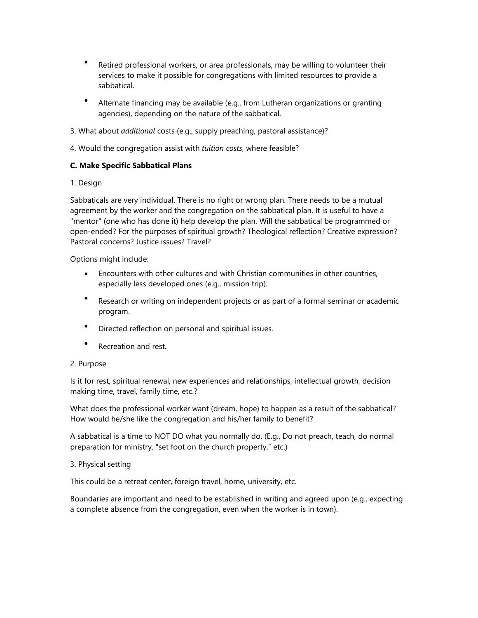- Retired professional workers, or area professionals, may be willing to volunteer their services to make it possible for congregations with limited resources to provide a sabbatical.
- Alternate financing may be available (e.g., from Lutheran organizations or granting agencies), depending on the nature of the sabbatical.
- 3. What about *additional* costs (e.g., supply preaching, pastoral assistance)?
- 4. Would the congregation assist with *tuition costs*, where feasible?

# **C. Make Specific Sabbatical Plans**

# 1. Design

Sabbaticals are very individual. There is no right or wrong plan. There needs to be a mutual agreement by the worker and the congregation on the sabbatical plan. It is useful to have a "mentor" (one who has done it) help develop the plan. Will the sabbatical be programmed or open-ended? For the purposes of spiritual growth? Theological reflection? Creative expression? Pastoral concerns? Justice issues? Travel?

Options might include:

- Encounters with other cultures and with Christian communities in other countries, especially less developed ones (e.g., mission trip).
- Research or writing on independent projects or as part of a formal seminar or academic program.
- Directed reflection on personal and spiritual issues.
- Recreation and rest.

# 2. Purpose

Is it for rest, spiritual renewal, new experiences and relationships, intellectual growth, decision making time, travel, family time, etc.?

What does the professional worker want (dream, hope) to happen as a result of the sabbatical? How would he/she like the congregation and his/her family to benefit?

A sabbatical is a time to NOT DO what you normally do. (E.g., Do not preach, teach, do normal preparation for ministry, "set foot on the church property," etc.)

# 3. Physical setting

This could be a retreat center, foreign travel, home, university, etc.

Boundaries are important and need to be established in writing and agreed upon (e.g., expecting a complete absence from the congregation, even when the worker is in town).